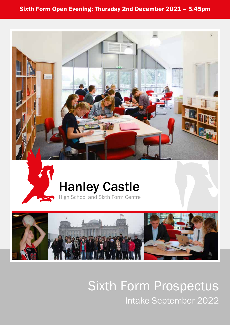#### Sixth Form Open Evening: Thursday 2nd December 2021 – 5.45pm





# Hanley Castle





Sixth Form Prospectus Intake September 2022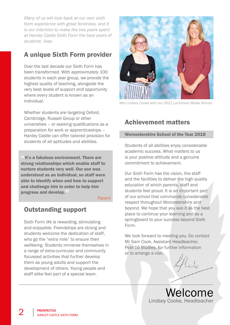*Many of us will look back at our own sixth form experience with great fondness, and it is our intention to make the two years spent at Hanley Castle Sixth Form the best years of students' lives.*

### A unique Sixth Form provider

Over the last decade our Sixth Form has been transformed. With approximately 100 students in each year group, we provide the highest quality of teaching, alongside the very best levels of support and opportunity where every student is known as an individual.

Whether students are targeting Oxford, Cambridge, Russell Group or other universities – or seeking qualifications as a preparation for work or apprenticeships – Hanley Castle can offer tailored provision for students of all aptitudes and abilities.

"It's a fabulous environment. There are strong relationships which enable staff to nurture students very well. Our son was understood as an individual, so staff were able to identify when and how to support and challenge him in order to help him progress and develop."

#### **Parent**

#### Outstanding support

Sixth Form life is rewarding, stimulating and enjoyable. Friendships are strong and students welcome the dedication of staff, who go the "extra mile" to ensure their wellbeing. Students immerse themselves in a range of extra-curricular and community focussed activities that further develop them as young adults and support the development of others. Young people and staff alike feel part of a special team.



Cooke with our 2021 Lechmere Medal Winner

#### Achievement matters

#### Worcestershire School of the Year 2018

Students of all abilities enjoy considerable academic success. What matters to us is your positive attitude and a genuine commitment to achievement.

Our Sixth Form has the vision, the staff and the facilities to deliver the high quality education of which parents, staff and students feel proud. It is an important part of our school that commands considerable respect throughout Worcestershire and beyond. We hope that you see it as the best place to continue your learning and as a springboard to your success beyond Sixth Form.

We look forward to meeting you. Do contact Mr Sam Cook, Assistant Headteacher, Post-16 Studies, for further information or to arrange a visit.

> Welcome Lindsey Cooke, Headteacher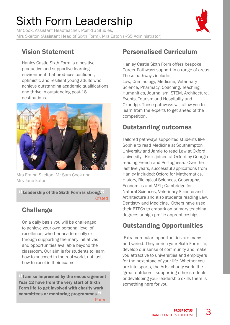# Sixth Form Leadership

Mr Cook, Assistant Headteacher, Post-16 Studies, Mrs Skelton (Assistant Head of Sixth Form), Mrs Eaton (KS5 Administrator)



### Vision Statement

Hanley Castle Sixth Form is a positive, productive and supportive learning environment that produces confident, optimistic and resilient young adults who achieve outstanding academic qualifications and thrive in outstanding post-18 destinations.



Mrs Emma Skelton, Mr Sam Cook and Mrs Jane Eaton

Leadership of the Sixth Form is strong. **Ofsted** 

### **Challenge**

On a daily basis you will be challenged to achieve your own personal level of excellence, whether academically or through supporting the many initiatives and opportunities available beyond the classroom. Our aim is for students to learn how to succeed in the real world, not just how to excel in their exams.

<sup>44</sup>I am so impressed by the encouragement Year 12 have from the very start of Sixth Form life to get involved with charity work, committees or mentoring programmes." Parent

### Personalised Curriculum

Hanley Castle Sixth Form offers bespoke Career Pathways support in a range of areas. These pathways include: Law, Criminology, Medicine, Veterinary Science, Pharmacy, Coaching, Teaching, Humanities, Journalism, STEM, Architecture, Events, Tourism and Hospitality and Oxbridge. These pathways will allow you to learn from the experts to get ahead of the competition.

### Outstanding outcomes

Tailored pathways supported students like Sophie to read Medicine at Southampton University and Jamie to read Law at Oxford University. He is joined at Oxford by Georgia reading French and Portuguese. Over the last five years, successful applications from Hanley included: Oxford for Mathematics, History, Biological Sciences, Geography, Economics and MFL; Cambridge for Natural Sciences, Veterinary Science and Architecture and also students reading Law, Dentistry and Medicine. Others have used their BTECs to embark on primary teaching degrees or high profile apprenticeships.

### Outstanding Opportunities

'Extra-curricular' opportunities are many and varied. They enrich your Sixth Form life, develop our sense of community and make you attractive to universities and employers for the next stage of your life. Whether you are into sports, the Arts, charity work, the 'great outdoors', supporting other students or developing your leadership skills there is something here for you.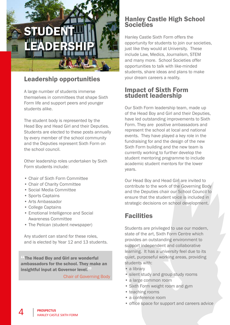# STUDENT LEADERSHIP

#### Leadership opportunities

A large number of students immerse themselves in committees that shape Sixth Form life and support peers and younger students alike.

The student body is represented by the Head Boy and Head Girl and their Deputies. Students are elected to these posts annually by every member of the school community and the Deputies represent Sixth Form on the school council.

Other leadership roles undertaken by Sixth Form students include:

- Chair of Sixth Form Committee
- Chair of Charity Committee
- Social Media Committee
- Sports Captains
- Arts Ambassador
- College Captains
- Emotional Intelligence and Social Awareness Committee
- The Pelican (student newspaper)

Any student can stand for these roles, and is elected by Year 12 and 13 students.

"The Head Boy and Girl are wonderful ambassadors for the school. They make an insightful input at Governor level."

Chair of Governing Body

#### Hanley Castle High School **Societies**

Hanley Castle Sixth Form offers the opportunity for students to join our societies, just like they would at University. These include Law, Medics, Journalism, STEM and many more. School Societies offer opportunities to talk with like-minded students, share ideas and plans to make your dream careers a reality.

#### Impact of Sixth Form student leadership

Our Sixth Form leadership team, made up of the Head Boy and Girl and their Deputies, have led outstanding improvements to Sixth Form. They are positive ambassadors and represent the school at local and national events. They have played a key role in the fundraising for and the design of the new Sixth Form building and the new team is currently working to further develop the student mentoring programme to include academic student mentors for the lower years.

Our Head Boy and Head Girl are invited to contribute to the work of the Governing Body and the Deputies chair our School Council to ensure that the student voice is included in strategic decisions on school development.

#### **Facilities**

Students are privileged to use our modern, state of the art, Sixth Form Centre which provides an outstanding environment to support independent and collaborative learning. It has a university feel due to its quiet, purposeful working areas, providing students with:

- a library
- silent study and group study rooms
- a large common room
- Sixth Form weight room and gym
- teaching rooms
- a conference room
- office space for support and careers advice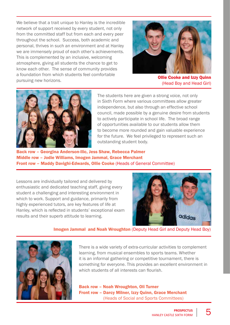We believe that a trait unique to Hanley is the incredible network of support received by every student, not only from the committed staff but from each and every peer throughout the school. Success, both academic and personal, thrives in such an environment and at Hanley we are immensely proud of each other's achievements. This is complemented by an inclusive, welcoming atmosphere, giving all students the chance to get to know each other. The sense of community provides a foundation from which students feel comfortable pursuing new horizons. **Conflict Communities and Izzy Quinn**<br>pursuing new horizons.



(Head Boy and Head Girl)



The students here are given a strong voice, not only in Sixth Form where various committees allow greater independence, but also through an effective school council, made possible by a genuine desire from students to actively participate in school life. The broad range of opportunities available to our students allow them to become more rounded and gain valuable experience for the future. We feel privileged to represent such an outstanding student body.

Back row – Georgina Anderson-Ilic, Jess Shaw, Rebecca Palmer Middle row – Jodie Williams, Imogen Jammal, Grace Merchant Front row – Maddy Davighi-Edwards, Ollie Cooke (Heads of General Committee)

Lessons are individually tailored and delivered by enthusiastic and dedicated teaching staff, giving every student a challenging and interesting environment in which to work. Support and guidance, primarily from highly experienced tutors, are key features of life at Hanley, which is reflected in students' exceptional exam results and their superb attitude to learning.



#### Imogen Jammal and Noah Wroughton (Deputy Head Girl and Deputy Head Boy)



There is a wide variety of extra-curricular activities to complement learning, from musical ensembles to sports teams. Whether it is an informal gathering or competitive tournament, there is something for everyone. This provides an excellent environment in which students of all interests can flourish.

Back row – Noah Wroughton, Oli Turner Front row – Darcy Milner, Izzy Quinn, Grace Merchant (Heads of Social and Sports Committees)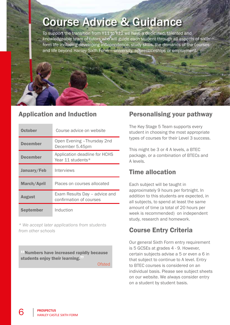# Course Advice & Guidance

To support the transition from Y11 to Y12 we have a dedicated, talented and knowledgeable team of tutors who will guide each student through all aspects of sixth form life including developing independence, study skills, the demands of the courses and life beyond Hanley Sixth Form – university, apprenticeships or employment.

#### Application and Induction

| <b>October</b>     | Course advice on website                                 |  |
|--------------------|----------------------------------------------------------|--|
| <b>December</b>    | Open Evening - Thursday 2nd<br>December 5.45pm           |  |
| <b>December</b>    | Application deadline for HCHS<br>Year 11 students*       |  |
| January/Feb        | Interviews                                               |  |
| <b>March/April</b> | Places on courses allocated                              |  |
| <b>August</b>      | Exam Results Day - advice and<br>confirmation of courses |  |
| <b>September</b>   | Induction                                                |  |

*\* We accept later applications from students from other schools* 

"Numbers have increased rapidly because students enjoy their learning."

**Ofsted** 

#### Personalising your pathway

The Key Stage 5 Team supports every student in choosing the most appropriate types of courses for their Level 3 success.

This might be 3 or 4 A levels, a BTEC package, or a combination of BTECs and A levels.

#### Time allocation

Each subject will be taught in approximately 9 hours per fortnight. In addition to this students are expected, in all subjects, to spend at least the same amount of time (a total of 20 hours per week is recommended) on independent study, research and homework.

### Course Entry Criteria

Our general Sixth Form entry requirement is 5 GCSEs at grades 4 - 9. However, certain subjects advise a 5 or even a 6 in that subject to continue to A level. Entry to BTEC courses is considered on an individual basis. Please see subject sheets on our website. We always consider entry on a student by student basis.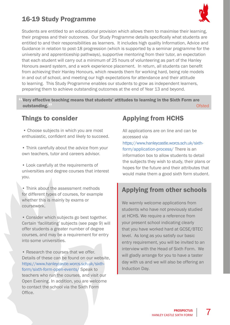# 16-19 Study Programme



Students are entitled to an educational provision which allows them to maximise their learning, their progress and their outcomes. Our Study Programme details specifically what students are entitled to and their responsibilities as learners. It includes high quality Information, Advice and Guidance in relation to post-18 progression (which is supported by a seminar programme for the university and apprenticeship pathways), supportive mentoring from their tutor, an expectation that each student will carry out a minimum of 25 hours of volunteering as part of the Hanley Honours award system, and a work experience placement. In return, all students can benefit from achieving their Hanley Honours, which rewards them for working hard, being role models in and out of school, and meeting our high expectations for attendance and their attitude to learning. This Study Programme enables our students to grow as independent learners, preparing them to achieve outstanding outcomes at the end of Year 13 and beyond.

Very effective teaching means that students' attitudes to learning in the Sixth Form are<br>Ofsted outstanding."<sup>"</sup> Ofsted

#### Things to consider

 • Choose subjects in which you are most enthusiastic, confident and likely to succeed.

• Think carefully about the advice from your own teachers, tutor and careers advisor.

• Look carefully at the requirements of universities and degree courses that interest you.

• Think about the assessment methods for different types of courses, for example whether this is mainly by exams or coursework.

• Consider which subjects go best together. Certain 'facilitating' subjects (see page 9) will offer students a greater number of degree courses, and may be a requirement for entry into some universities.

• Research the courses that we offer. Details of these can be found on our website, [https://www.hanleycastle.worcs.sch.uk/sixth](https://www.hanleycastle.worcs.sch.uk/sixth-form/sixth-form-open-events/)[form/sixth-form-open-events/](https://www.hanleycastle.worcs.sch.uk/sixth-form/sixth-form-open-events/) Speak to teachers who run the courses, and visit our Open Evening. In addition, you are welcome to contact the school via the Sixth Form Office.

### Applying from HCHS

All applications are on line and can be accessed via

[https://www.hanleycastle.worcs.sch.uk/sixth](https://www.hanleycastle.worcs.sch.uk/sixth-form/application-process)[form/application-process](https://www.hanleycastle.worcs.sch.uk/sixth-form/application-process)/ There is an information box to allow students to detail the subjects they wish to study, their plans or hopes for the future and their attributes that would make them a good sixth form student.

### Applying from other schools

We warmly welcome applications from students who have not previously studied at HCHS. We require a reference from your present school indicating clearly that you have worked hard at GCSE/BTEC level. As long as you satisfy our basic entry requirement, you will be invited to an interview with the Head of Sixth Form. We will gladly arrange for you to have a taster day with us and we will also be offering an Induction Day.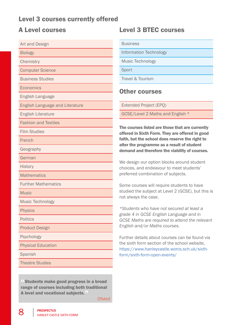#### Level 3 courses currently offered

#### A Level courses

| <b>Art and Design</b>                  |  |
|----------------------------------------|--|
| <b>Biology</b>                         |  |
| Chemistry                              |  |
| <b>Computer Science</b>                |  |
| <b>Business Studies</b>                |  |
| Economics                              |  |
| English Language                       |  |
| <b>English Language and Literature</b> |  |
| <b>English Literature</b>              |  |
| <b>Fashion and Textiles</b>            |  |
| <b>Film Studies</b>                    |  |
| French                                 |  |
| Geography                              |  |
| German                                 |  |
| <b>History</b>                         |  |
| <b>Mathematics</b>                     |  |
| <b>Further Mathematics</b>             |  |
| <b>Music</b>                           |  |
| <b>Music Technology</b>                |  |
| <b>Physics</b>                         |  |
| <b>Politics</b>                        |  |
| <b>Product Design</b>                  |  |
| Psychology                             |  |
| <b>Physical Education</b>              |  |
| <b>Spanish</b>                         |  |
| <b>Theatre Studies</b>                 |  |

Students make good progress in a broad range of courses including both traditional A level and vocational subjects."

**Ofsted** 

#### Level 3 BTEC courses

**Business** 

Information Technology

Music Technology

Sport

Travel & Tourism

#### Other courses

Extended Project (EPQ)

GCSE/Level 2 Maths and English \*

The courses listed are those that are currently offered in Sixth Form. They are offered in good faith, but the school does reserve the right to alter the programme as a result of student demand and therefore the viability of courses.

We design our option blocks around student choices, and endeavour to meet students' preferred combination of subjects.

Some courses will require students to have studied the subject at Level 2 (GCSE), but this is not always the case.

*\*Students who have not secured at least a grade 4 in GCSE English Language and in GCSE Maths are required to attend the relevant English and/or Maths courses.*

Further details about courses can be found via the sixth form section of the school website, https://www.hanleycastle.worcs.sch.uk/sixthform/sixth-form-open-events/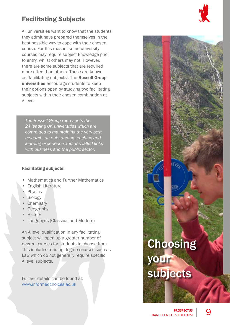### Facilitating Subjects

All universities want to know that the students they admit have prepared themselves in the best possible way to cope with their chosen course. For this reason, some university courses may require subject knowledge prior to entry, whilst others may not. However, there are some subjects that are required more often than others. These are known as 'facilitating subjects'. The Russell Group universities encourage students to keep their options open by studying two facilitating subjects within their chosen combination at A level.

*The Russell Group represents the 24 leading UK universities which are committed to maintaining the very best research, an outstanding teaching and learning experience and unrivalled links with business and the public sector.*

#### Facilitating subjects:

- Mathematics and Further Mathematics
- English Literature
- Physics
- Biology
- Chemistry
- Geography
- History
- Languages (Classical and Modern)

An A level qualification in any facilitating subject will open up a greater number of degree courses for students to choose from. This includes reading degree courses such as Law which do not generally require specific A level subjects.

Further details can be found at: www.informedchoices.ac.uk

#### **PROSPECTUS** HANLEY CASTLE SIXTH FORM 9

Choosing

subjects

your

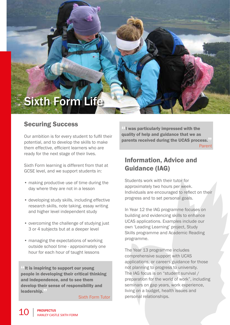# Sixth Form Life

#### Securing Success

Our ambition is for every student to fulfil their potential, and to develop the skills to make them effective, efficient learners who are ready for the next stage of their lives.

Sixth Form learning is different from that at GCSE level, and we support students in:

- making productive use of time during the day where they are not in a lesson
- developing study skills, including effective research skills, note taking, essay writing and higher level independent study
- overcoming the challenge of studying just 3 or 4 subjects but at a deeper level
- managing the expectations of working outside school time - approximately one hour for each hour of taught lessons

It is inspiring to support our young people in developing their critical thinking and independence, and to see them develop their sense of responsibility and leadership."

Sixth Form Tutor

"I was particularly impressed with the quality of help and guidance that we as parents received during the UCAS process. Parent

#### Information, Advice and Guidance (IAG)

Students work with their tutor for approximately two hours per week. Individuals are encouraged to reflect on their progress and to set personal goals.

In Year 12 the IAG programme focuses on building and evidencing skills to enhance UCAS applications. Examples include our own 'Leading Learning' project, Study Skills programme and Academic Reading programme.

The Year 13 programme includes comprehensive support with UCAS applications, or careers guidance for those not planning to progress to university. The IAG focus is on "student survival / preparation for the world of work", including seminars on gap years, work experience, living on a budget, health issues and personal relationships.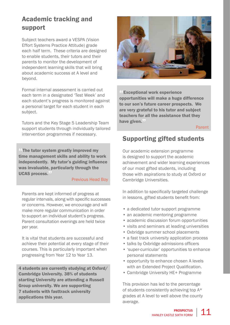### Academic tracking and support

Subject teachers award a VESPA (Vision Effort Systems Practice Attitude) grade each half term. These criteria are designed to enable students, their tutors and their parents to monitor the development of independent learning skills that will bring about academic success at A level and beyond.

Formal internal assessment is carried out each term in a designated 'Test Week' and each student's progress is monitored against a personal target for each student in each subject.

Tutors and the Key Stage 5 Leadership Team support students through individually tailored intervention programmes if necessary.

The tutor system greatly improved my time management skills and ability to work independently. My tutor's guiding influence was invaluable, particularly through the UCAS process."

#### Previous Head Boy

Parents are kept informed of progress at regular intervals, along with specific successes or concerns. However, we encourage and will make more regular communication in order to support an individual student's progress. Parent consultation evenings are held twice per year.

It is vital that students are successful and achieve their potential at every stage of their courses. This is particularly important when progressing from Year 12 to Year 13.

4 students are currently studying at Oxford/ Cambridge University. 38% of students starting University are attending a Russell Group university. We are supporting 7 students with fasttrack university applications this year.



<sup>44</sup> Exceptional work experience opportunities will make a huge difference to our son's future career prospects. We are very grateful to his tutor and subject teachers for all the assistance that they have given."

Parent

#### Supporting gifted students

Our academic extension programme is designed to support the academic achievement and wider learning experiences of our most gifted students, including those with aspirations to study at Oxford or Cambridge Universities.

In addition to specifically targeted challenge in lessons, gifted students benefit from:

- a dedicated tutor support programme
- an academic mentoring programme
- academic discussion forum opportunities
- visits and seminars at leading universities
- Oxbridge summer school placements
- a fast track university application process
- talks by Oxbridge admissions officers
- 'super-curricular' opportunities to enhance personal statements
- opportunity to enhance chosen A levels with an Extended Project Oualification.
- Cambridge University HE+ Programme

This provision has led to the percentage of students consistently achieving top A\* grades at A level to well above the county average.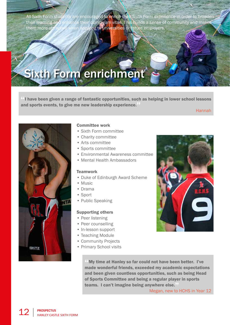All Sixth Form students are encouraged to enrich their Sixth Form experience in order to broaden their learning and enhance their curriculum vitae. This builds a sense of community and makesthem more attractive when applying to universities or future employers.

# Sixth Form enrichment

"I have been given a range of fantastic opportunities, such as helping in lower school lessons and sports events, to give me new leadership experience."

Hannah



#### Committee work

- Sixth Form committee
- Charity committee
- Arts committee
- Sports committee
- Environmental Awareness committee
- Mental Health Ambassadors

#### **Teamwork**

- Duke of Edinburgh Award Scheme
- Music
- Drama
- Sport
- Public Speaking

#### Supporting others

- Peer listening
- Peer counselling
- In-lesson support
- Teaching Module
- Community Projects
- Primary School visits



"My time at Hanley so far could not have been better. I've made wonderful friends, exceeded my academic expectations and been given countless opportunities, such as being Head of Sports Committee and being a regular player in sports teams. I can't imagine being anywhere else."

Megan, new to HCHS in Year 12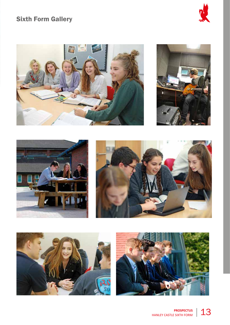# Sixth Form Gallery











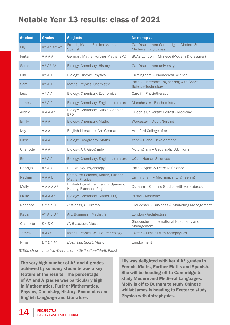# Notable Year 13 results: class of 2021

| <b>Student</b> | <b>Grades</b>     | <b>Subjects</b>                                                   | Next steps                                                            |  |
|----------------|-------------------|-------------------------------------------------------------------|-----------------------------------------------------------------------|--|
| Lily           | $A^* A^* A^* A^*$ | French, Maths, Further Maths,<br>Spanish                          | Gap Year - then Cambridge - Modern &<br><b>Medieval Languages</b>     |  |
| Fintan         | AAAA              | German, Maths, Further Maths, EPQ                                 | SOAS London - Chinese (Modern & Classical)                            |  |
| Sarah          | $A^* A^* A^*$     | Biology, Chemistry, History                                       | Gap Year - then university                                            |  |
| Ella           | $A^*AA$           | Biology, History, Physics                                         | Birmingham - Biomedical Science                                       |  |
| Sam            | $A^* A A$         | Maths, Physics, Chemistry                                         | Bath - Electronic Engineering with Space<br><b>Science Technology</b> |  |
| Lucy           | $A^* A A$         | Biology, Chemistry, Economics                                     | Cardiff - Physiotherapy                                               |  |
| <b>James</b>   | $A^* A A$         | Biology, Chemistry, English Literature                            | Manchester - Biochemistry                                             |  |
| Archie         | $A A A A^*$       | Biology, Chemistry, Music, Spanish,<br>EPQ                        | Queen's University Belfast - Medicine                                 |  |
| <b>Emily</b>   | <b>AAA</b>        | Biology, Chemistry, Maths                                         | Worcester - Adult Nursing                                             |  |
| <b>Izzy</b>    | A A A             | English Literature, Art, German                                   | Hereford College of Art                                               |  |
| <b>Ellen</b>   | <b>AAA</b>        | Biology, Geography, Maths                                         | York - Global Development                                             |  |
| Charlotte      | A A A             | Biology, Art, Geography                                           | Nottingham - Geography BSc Hons                                       |  |
| <b>Emma</b>    | $A^* A A$         | Biology, Chemistry, English Literature                            | <b>UCL - Human Sciences</b>                                           |  |
| Georgia        | $A^* A A$         | PE, Biology, Psychology                                           | Bath - Sport & Exercise Science                                       |  |
| <b>Nathan</b>  | AAAB              | Computer Science, Maths, Further<br>Maths, Physics                | Birmingham - Mechanical Engineering                                   |  |
| Molly          | $A A A A A^*$     | English Literature, French, Spanish,<br>History, Extended Project | Durham - Chinese Studies with year abroad                             |  |
| Lizzie         | $A A A A^*$       | Biology, Chemistry, Maths, EPQ                                    | <b>Bristol - Medicine</b>                                             |  |
| Rebecca        | $D * D * C$       | Business, IT, Drama                                               | Gloucester - Business & Marketing Management                          |  |
| Katja          | $A^* A C D^*$     | Art, Business, Maths, IT                                          | London - Architecture                                                 |  |
| Charlotte      | $D * D C$         | IT, Business, Music                                               | Gloucester - International Hospitality and<br>Management              |  |
| <b>James</b>   | $A A D*$          | Maths, Physics, Music Technology                                  | Exeter - Physics with Astrophysics                                    |  |
| <b>Rhys</b>    | $D * D * M$       | Business, Sport, Music                                            | Employment                                                            |  |

*BTECs shown in italics (Distinction\*/Distinction/Merit/Pass).*

The very high number of A\* and A grades achieved by so many students was a key feature of the results. The percentage of A\* and A grades was particularly high in Mathematics, Further Mathematics, Physics, Chemistry, History, Economics and English Language and Literature.

Lily was delighted with her 4 A\* grades in French, Maths, Further Maths and Spanish. She will be heading off to Cambridge to study Modern and Medieval Languages. Molly is off to Durham to study Chinese whilst James is heading to Exeter to study Physics with Astrophysics.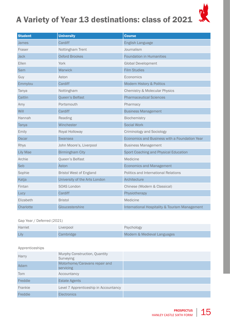# A Variety of Year 13 destinations: class of 2021



| <b>Student</b>  | <b>University</b>              | <b>Course</b>                                  |
|-----------------|--------------------------------|------------------------------------------------|
| <b>James</b>    | Cardiff                        | English Language                               |
| Fraser          | Nottingham Trent               | Journalism                                     |
| <b>Jack</b>     | <b>Oxford Brookes</b>          | <b>Foundation in Humanities</b>                |
| Ellen           | York                           | Global Development                             |
| Sam             | Warwick                        | <b>Film Studies</b>                            |
| Guy             | Aston                          | Economics                                      |
| Emmylou         | Cardiff                        | Modern History & Politics                      |
| Tanya           | Nottingham                     | <b>Chemistry &amp; Molecular Physics</b>       |
| Caitlin         | Queen's Belfast                | <b>Pharmaceutical Sciences</b>                 |
| Amy             | Portsmouth                     | Pharmacy                                       |
| Will            | Cardiff                        | <b>Business Management</b>                     |
| Hannah          | Reading                        | Biochemistry                                   |
| Tanya           | Winchester                     | Social Work                                    |
| Emily           | Royal Holloway                 | <b>Criminology and Sociology</b>               |
| Oscar           | <b>Swansea</b>                 | Economics and Business with a Foundation Year  |
| Rhys            | John Moore's, Liverpool        | <b>Business Management</b>                     |
| <b>Lily Mae</b> | <b>Birmingham City</b>         | Sport Coaching and Physical Education          |
| Archie          | Queen's Belfast                | Medicine                                       |
| Seb             | Aston                          | <b>Economics and Management</b>                |
| Sophie          | <b>Bristol West of England</b> | Politics and International Relations           |
| Katja           | University of the Arts London  | Architecture                                   |
| Fintan          | <b>SOAS London</b>             | Chinese (Modern & Classical)                   |
| Lucy            | Cardiff                        | Physiotherapy                                  |
| Elizabeth       | <b>Bristol</b>                 | Medicine                                       |
| Charlotte       | Gloucestershire                | International Hospitality & Tourism Management |

#### Gap Year / Deferred (2021)

| Harriet | Liverpool | Psychology                  |
|---------|-----------|-----------------------------|
| Lily    | Cambridge | Modern & Medieval Languages |

#### Apprenticeships

| Harry   | Murphy Construction, Quantity<br>Surveying |  |
|---------|--------------------------------------------|--|
| Adam    | Motorhome/Caravans repair and<br>servicing |  |
| Tom     | Accountancy                                |  |
| Freddie | <b>Estate Agents</b>                       |  |
| Frankie | Level 7 Apprenticeship in Accountancy      |  |
| Freddie | <b>Electronics</b>                         |  |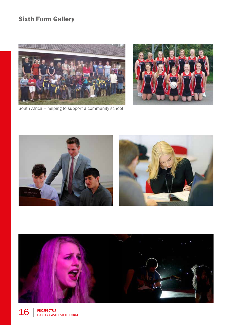# Sixth Form Gallery









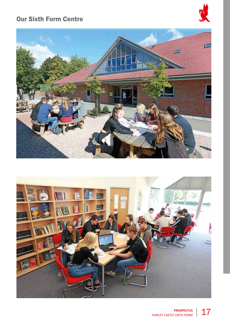#### Our Sixth Form Centre





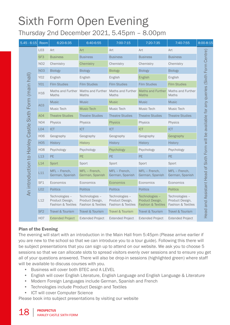# Sixth Form Open Evening Thursday 2nd December 2021, 5.45pm – 8.00pm

| $5.45 - 6:15$      | Room            | 6:20-6:35                                               | 6:40-6:55                                               | 7:00-7:15                                               | 7:20-7:35                                                          | 7:40-7:55                                               | 8:00-8:15                                                                              |
|--------------------|-----------------|---------------------------------------------------------|---------------------------------------------------------|---------------------------------------------------------|--------------------------------------------------------------------|---------------------------------------------------------|----------------------------------------------------------------------------------------|
|                    | L <sub>03</sub> | Art                                                     | Art                                                     | Art                                                     | Art                                                                | Art                                                     |                                                                                        |
|                    | SF <sub>3</sub> | <b>Business</b>                                         | <b>Business</b>                                         | <b>Business</b>                                         | <b>Business</b>                                                    | <b>Business</b>                                         |                                                                                        |
|                    | N02             | Chemistry                                               | Chemistry                                               | Chemistry                                               | Chemistry                                                          | Chemistry                                               |                                                                                        |
|                    | <b>N03</b>      | <b>Biology</b>                                          | <b>Biology</b>                                          | <b>Biology</b>                                          | <b>Biology</b>                                                     | <b>Biology</b>                                          |                                                                                        |
|                    | Y02             | English                                                 | English                                                 | English                                                 | English                                                            | English                                                 |                                                                                        |
|                    | Y01             | <b>Film Studies</b>                                     | <b>Film Studies</b>                                     | <b>Film Studies</b>                                     | <b>Film Studies</b>                                                | <b>Film Studies</b>                                     |                                                                                        |
| (main hall)        | H <sub>16</sub> | Maths                                                   | Maths and Further Maths and Further<br><b>Maths</b>     | Maths and Further<br><b>Maths</b>                       | <b>Maths and Further</b><br><b>Maths</b>                           | Maths and Further<br><b>Maths</b>                       |                                                                                        |
| Form               |                 | <b>Music</b>                                            | <b>Music</b>                                            | <b>Music</b>                                            | <b>Music</b>                                                       | <b>Music</b>                                            |                                                                                        |
|                    | A <sub>03</sub> | Music Tech                                              | <b>Music Tech</b>                                       | Music Tech                                              | Music Tech                                                         | Music Tech                                              |                                                                                        |
|                    | A04             | <b>Theatre Studies</b>                                  | <b>Theatre Studies</b>                                  | <b>Theatre Studies</b>                                  | <b>Theatre Studies</b>                                             | <b>Theatre Studies</b>                                  |                                                                                        |
|                    | N04             | Physics                                                 | <b>Physics</b>                                          | <b>Physics</b>                                          | Physics                                                            | <b>Physics</b>                                          |                                                                                        |
| Castle Sixth       | LO4             | <b>ICT</b>                                              | ICT                                                     | <b>ICT</b>                                              | ICT                                                                | ICT                                                     |                                                                                        |
|                    | <b>HO6</b>      | Geography                                               | Geography                                               | Geography                                               | Geography                                                          | Geography                                               |                                                                                        |
|                    | <b>H05</b>      | <b>History</b>                                          | <b>History</b>                                          | History                                                 | <b>History</b>                                                     | <b>History</b>                                          |                                                                                        |
| Hanley             | <b>H08</b>      | Psychology                                              | Psychology                                              | Psychology                                              | Psychology                                                         | Psychology                                              |                                                                                        |
|                    | L13             | <b>PE</b>                                               | <b>PE</b>                                               | <b>PE</b>                                               | <b>PE</b>                                                          | PE.                                                     |                                                                                        |
|                    | L14             | Sport                                                   | Sport                                                   | Sport                                                   | Sport                                                              | Sport                                                   |                                                                                        |
| An introduction to | L11             | MFL - French,<br>German, Spanish                        | MFL - French,<br>German, Spanish                        | MFL - French,<br>German, Spanish                        | MFL - French.<br>German, Spanish                                   | MFL - French,<br>German, Spanish                        |                                                                                        |
|                    | SF <sub>1</sub> | Economics                                               | Economics                                               | Economics                                               | Economics                                                          | Economics                                               |                                                                                        |
|                    | L <sub>02</sub> | <b>Politics</b>                                         | <b>Politics</b>                                         | <b>Politics</b>                                         | <b>Politics</b>                                                    | <b>Politics</b>                                         |                                                                                        |
|                    | L12             | Technologies -<br>Product Design,<br>Fashion & Textiles | Technologies -<br>Product Design,<br>Fashion & Textiles | Technologies -<br>Product Design,<br>Fashion & Textiles | Technologies -<br>Product Design,<br><b>Fashion &amp; Textiles</b> | Technologies -<br>Product Design,<br>Fashion & Textiles | and Assistant Head of Sixth Form will be available for any queries (Sixth Form Centre) |
|                    | SF <sub>2</sub> | Travel & Tourism                                        | Travel & Tourism                                        | Travel & Tourism                                        | Travel & Tourism                                                   | Travel & Tourism                                        | Head                                                                                   |
|                    | <b>HO7</b>      | <b>Extended Project</b>                                 | <b>Extended Project</b>                                 | <b>Extended Project</b>                                 | <b>Extended Project</b>                                            | <b>Extended Project</b>                                 |                                                                                        |

#### Plan of the Evening

The evening will start with an introduction in the Main Hall from 5:45pm (Please arrive earlier if you are new to the school so that we can introduce you to a tour guide). Following this there will be subject presentations that you can sign up to attend on our website. We ask you to choose 5 sessions so that we can allocate slots to spread visitors evenly over sessions and to ensure you get all of your questions answered. There will also be drop-in sessions (highlighted green) where staff will be available to discuss courses with you.

- Business will cover both BTEC and A LEVEL
- English will cover English Literature, English Language and English Language & Literature
- Modern Foreign Languages include German, Spanish and French
- Technologies include Product Design and Textiles
- ICT will cover Computer Science

Please book into subject presentations by visiting our website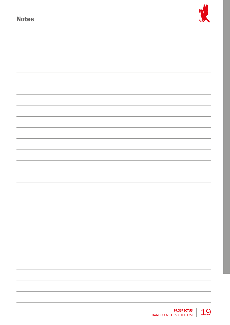| <b>Notes</b> |  |
|--------------|--|
|              |  |
|              |  |
|              |  |
|              |  |
|              |  |
|              |  |
|              |  |
|              |  |
|              |  |
|              |  |
|              |  |
|              |  |
|              |  |
|              |  |
|              |  |
|              |  |
|              |  |